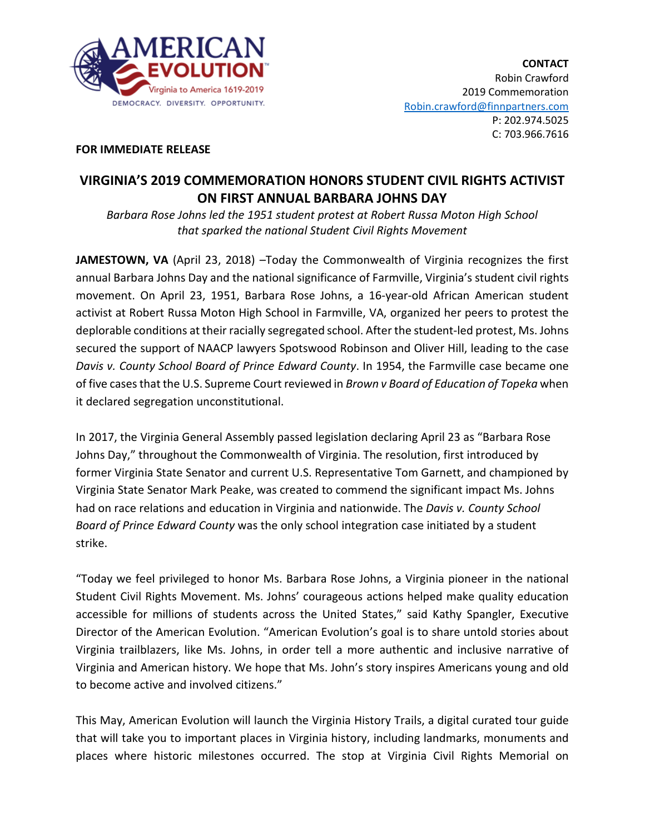

## **FOR IMMEDIATE RELEASE**

## **VIRGINIA'S 2019 COMMEMORATION HONORS STUDENT CIVIL RIGHTS ACTIVIST ON FIRST ANNUAL BARBARA JOHNS DAY**

*Barbara Rose Johns led the 1951 student protest at Robert Russa Moton High School that sparked the national Student Civil Rights Movement*

JAMESTOWN, VA (April 23, 2018) - Today the Commonwealth of Virginia recognizes the first annual Barbara Johns Day and the national significance of Farmville, Virginia's student civil rights movement. On April 23, 1951, Barbara Rose Johns, a 16-year-old African American student activist at Robert Russa Moton High School in Farmville, VA, organized her peers to protest the deplorable conditions at their racially segregated school. After the student-led protest, Ms. Johns secured the support of NAACP lawyers Spotswood Robinson and Oliver Hill, leading to the case *Davis v. County School Board of Prince Edward County*. In 1954, the Farmville case became one of five cases that the U.S. Supreme Court reviewed in *Brown v Board of Education of Topeka* when it declared segregation unconstitutional.

In 2017, the Virginia General Assembly passed legislation declaring April 23 as "Barbara Rose Johns Day," throughout the Commonwealth of Virginia. The resolution, first introduced by former Virginia State Senator and current U.S. Representative Tom Garnett, and championed by Virginia State Senator Mark Peake, was created to commend the significant impact Ms. Johns had on race relations and education in Virginia and nationwide. The *Davis v. County School Board of Prince Edward County* was the only school integration case initiated by a student strike.

"Today we feel privileged to honor Ms. Barbara Rose Johns, a Virginia pioneer in the national Student Civil Rights Movement. Ms. Johns' courageous actions helped make quality education accessible for millions of students across the United States," said Kathy Spangler, Executive Director of the American Evolution. "American Evolution's goal is to share untold stories about Virginia trailblazers, like Ms. Johns, in order tell a more authentic and inclusive narrative of Virginia and American history. We hope that Ms. John's story inspires Americans young and old to become active and involved citizens."

This May, American Evolution will launch the Virginia History Trails, a digital curated tour guide that will take you to important places in Virginia history, including landmarks, monuments and places where historic milestones occurred. The stop at Virginia Civil Rights Memorial on